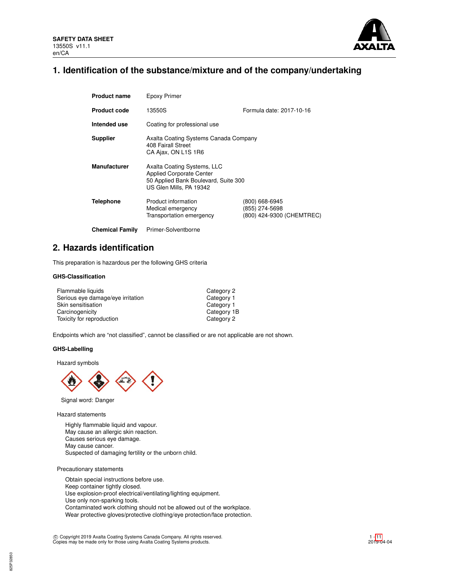

# **1. Identification of the substance/mixture and of the company/undertaking**

| <b>Product name</b>    | Epoxy Primer                                                                                                                      |                                                               |  |  |  |
|------------------------|-----------------------------------------------------------------------------------------------------------------------------------|---------------------------------------------------------------|--|--|--|
| <b>Product code</b>    | 13550S                                                                                                                            | Formula date: 2017-10-16                                      |  |  |  |
| Intended use           | Coating for professional use                                                                                                      |                                                               |  |  |  |
| <b>Supplier</b>        | Axalta Coating Systems Canada Company<br>408 Fairall Street<br>CA Ajax, ON L1S 1R6                                                |                                                               |  |  |  |
| <b>Manufacturer</b>    | Axalta Coating Systems, LLC<br><b>Applied Corporate Center</b><br>50 Applied Bank Boulevard, Suite 300<br>US Glen Mills, PA 19342 |                                                               |  |  |  |
| <b>Telephone</b>       | Product information<br>Medical emergency<br>Transportation emergency                                                              | (800) 668-6945<br>(855) 274-5698<br>(800) 424-9300 (CHEMTREC) |  |  |  |
| <b>Chemical Family</b> | Primer-Solventborne                                                                                                               |                                                               |  |  |  |

## **2. Hazards identification**

This preparation is hazardous per the following GHS criteria

## **GHS-Classification**

| Flammable liquids                 | Category 2  |
|-----------------------------------|-------------|
| Serious eye damage/eye irritation | Category 1  |
| Skin sensitisation                | Category 1  |
| Carcinogenicity                   | Category 1B |
| Toxicity for reproduction         | Category 2  |

Endpoints which are "not classified", cannot be classified or are not applicable are not shown.

## **GHS-Labelling**

Hazard symbols



Signal word: Danger

Hazard statements

Highly flammable liquid and vapour. May cause an allergic skin reaction. Causes serious eye damage. May cause cancer. Suspected of damaging fertility or the unborn child.

Precautionary statements

Obtain special instructions before use. Keep container tightly closed. Use explosion-proof electrical/ventilating/lighting equipment. Use only non-sparking tools. Contaminated work clothing should not be allowed out of the workplace. Wear protective gloves/protective clothing/eye protection/face protection.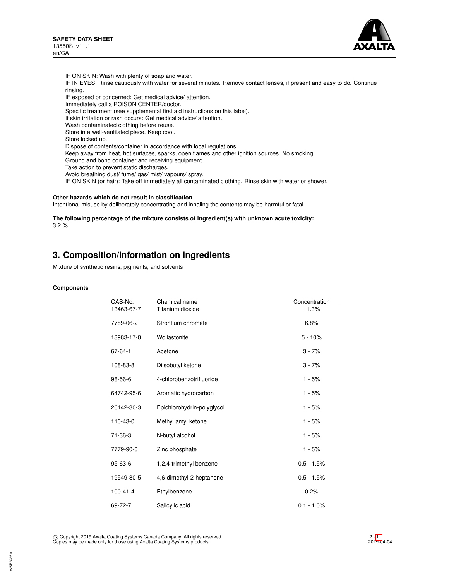

IF ON SKIN: Wash with plenty of soap and water. IF IN EYES: Rinse cautiously with water for several minutes. Remove contact lenses, if present and easy to do. Continue rinsing. IF exposed or concerned: Get medical advice/ attention. Immediately call a POISON CENTER/doctor. Specific treatment (see supplemental first aid instructions on this label). If skin irritation or rash occurs: Get medical advice/ attention. Wash contaminated clothing before reuse. Store in a well-ventilated place. Keep cool. Store locked up. Dispose of contents/container in accordance with local regulations. Keep away from heat, hot surfaces, sparks, open flames and other ignition sources. No smoking. Ground and bond container and receiving equipment. Take action to prevent static discharges. Avoid breathing dust/ fume/ gas/ mist/ vapours/ spray. IF ON SKIN (or hair): Take off immediately all contaminated clothing. Rinse skin with water or shower.

## **Other hazards which do not result in classification**

Intentional misuse by deliberately concentrating and inhaling the contents may be harmful or fatal.

**The following percentage of the mixture consists of ingredient(s) with unknown acute toxicity:** 3.2 %

## **3. Composition/information on ingredients**

Mixture of synthetic resins, pigments, and solvents

#### **Components**

| CAS-No.        | Chemical name              | Concentration |
|----------------|----------------------------|---------------|
| 13463-67-7     | Titanium dioxide           | 11.3%         |
| 7789-06-2      | Strontium chromate         | 6.8%          |
| 13983-17-0     | Wollastonite               | $5 - 10%$     |
| $67 - 64 - 1$  | Acetone                    | $3 - 7%$      |
| 108-83-8       | Diisobutyl ketone          | $3 - 7%$      |
| 98-56-6        | 4-chlorobenzotrifluoride   | $1 - 5%$      |
| 64742-95-6     | Aromatic hydrocarbon       | $1 - 5%$      |
| 26142-30-3     | Epichlorohydrin-polyglycol | $1 - 5%$      |
| 110-43-0       | Methyl amyl ketone         | $1 - 5%$      |
| $71 - 36 - 3$  | N-butyl alcohol            | $1 - 5%$      |
| 7779-90-0      | Zinc phosphate             | $1 - 5%$      |
| $95 - 63 - 6$  | 1,2,4-trimethyl benzene    | $0.5 - 1.5%$  |
| 19549-80-5     | 4,6-dimethyl-2-heptanone   | $0.5 - 1.5%$  |
| $100 - 41 - 4$ | Ethylbenzene               | 0.2%          |
| 69-72-7        | Salicylic acid             | $0.1 - 1.0\%$ |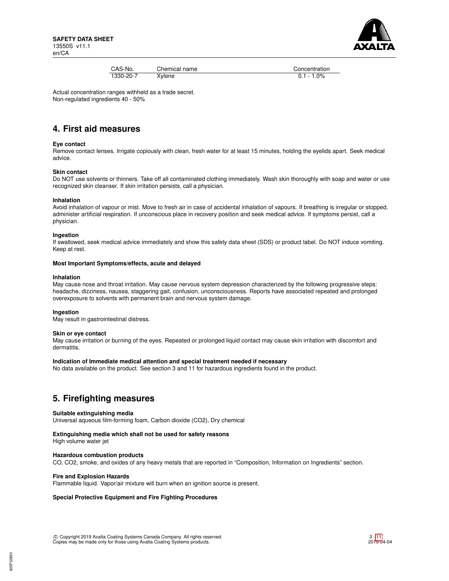

| CAS-No.   | Chemical name | Concentratio  |
|-----------|---------------|---------------|
| 1330-20-7 | Xylene        | $0.1 - 1.0\%$ |

Concentration<br> $0.1 - 1.0\%$ 

Actual concentration ranges withheld as a trade secret. Non-regulated ingredients 40 - 50%

# **4. First aid measures**

### **Eye contact**

Remove contact lenses. Irrigate copiously with clean, fresh water for at least 15 minutes, holding the eyelids apart. Seek medical advice.

#### **Skin contact**

Do NOT use solvents or thinners. Take off all contaminated clothing immediately. Wash skin thoroughly with soap and water or use recognized skin cleanser. If skin irritation persists, call a physician.

#### **Inhalation**

Avoid inhalation of vapour or mist. Move to fresh air in case of accidental inhalation of vapours. If breathing is irregular or stopped, administer artificial respiration. If unconscious place in recovery position and seek medical advice. If symptoms persist, call a physician.

#### **Ingestion**

If swallowed, seek medical advice immediately and show this safety data sheet (SDS) or product label. Do NOT induce vomiting. Keep at rest.

#### **Most Important Symptoms/effects, acute and delayed**

#### **Inhalation**

May cause nose and throat irritation. May cause nervous system depression characterized by the following progressive steps: headache, dizziness, nausea, staggering gait, confusion, unconsciousness. Reports have associated repeated and prolonged overexposure to solvents with permanent brain and nervous system damage.

## **Ingestion**

May result in gastrointestinal distress.

#### **Skin or eye contact**

May cause irritation or burning of the eyes. Repeated or prolonged liquid contact may cause skin irritation with discomfort and dermatitis.

## **Indication of Immediate medical attention and special treatment needed if necessary**

No data available on the product. See section 3 and 11 for hazardous ingredients found in the product.

## **5. Firefighting measures**

#### **Suitable extinguishing media**

Universal aqueous film-forming foam, Carbon dioxide (CO2), Dry chemical

## **Extinguishing media which shall not be used for safety reasons**

High volume water jet

## **Hazardous combustion products**

CO, CO2, smoke, and oxides of any heavy metals that are reported in "Composition, Information on Ingredients" section.

#### **Fire and Explosion Hazards**

Flammable liquid. Vapor/air mixture will burn when an ignition source is present.

## **Special Protective Equipment and Fire Fighting Procedures**

 c Copyright 2019 Axalta Coating Systems Canada Company. All rights reserved. Copies may be made only for those using Axalta Coating Systems products.

3 - [11](#page-10-0) 2019-04-04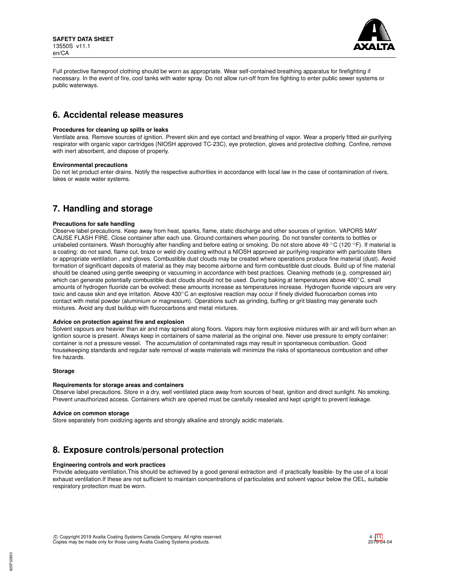

Full protective flameproof clothing should be worn as appropriate. Wear self-contained breathing apparatus for firefighting if necessary. In the event of fire, cool tanks with water spray. Do not allow run-off from fire fighting to enter public sewer systems or public waterways.

## **6. Accidental release measures**

#### **Procedures for cleaning up spills or leaks**

Ventilate area. Remove sources of ignition. Prevent skin and eye contact and breathing of vapor. Wear a properly fitted air-purifying respirator with organic vapor cartridges (NIOSH approved TC-23C), eye protection, gloves and protective clothing. Confine, remove with inert absorbent, and dispose of properly.

#### **Environmental precautions**

Do not let product enter drains. Notify the respective authorities in accordance with local law in the case of contamination of rivers, lakes or waste water systems.

# **7. Handling and storage**

#### **Precautions for safe handling**

Observe label precautions. Keep away from heat, sparks, flame, static discharge and other sources of ignition. VAPORS MAY CAUSE FLASH FIRE. Close container after each use. Ground containers when pouring. Do not transfer contents to bottles or unlabeled containers. Wash thoroughly after handling and before eating or smoking. Do not store above 49 °C (120 °F). If material is a coating: do not sand, flame cut, braze or weld dry coating without a NIOSH approved air purifying respirator with particulate filters or appropriate ventilation , and gloves. Combustible dust clouds may be created where operations produce fine material (dust). Avoid formation of significant deposits of material as they may become airborne and form combustible dust clouds. Build up of fine material should be cleaned using gentle sweeping or vacuuming in accordance with best practices. Cleaning methods (e.g. compressed air) which can generate potentially combustible dust clouds should not be used. During baking at temperatures above 400℃, small amounts of hydrogen fluoride can be evolved; these amounts increase as temperatures increase. Hydrogen fluoride vapours are very toxic and cause skin and eye irritation. Above 430℃ an explosive reaction may occur if finely divided fluorocarbon comes into contact with metal powder (aluminium or magnesium). Operations such as grinding, buffing or grit blasting may generate such mixtures. Avoid any dust buildup with fluorocarbons and metal mixtures.

## **Advice on protection against fire and explosion**

Solvent vapours are heavier than air and may spread along floors. Vapors may form explosive mixtures with air and will burn when an ignition source is present. Always keep in containers of same material as the original one. Never use pressure to empty container: container is not a pressure vessel. The accumulation of contaminated rags may result in spontaneous combustion. Good housekeeping standards and regular safe removal of waste materials will minimize the risks of spontaneous combustion and other fire hazards.

#### **Storage**

#### **Requirements for storage areas and containers**

Observe label precautions. Store in a dry, well ventilated place away from sources of heat, ignition and direct sunlight. No smoking. Prevent unauthorized access. Containers which are opened must be carefully resealed and kept upright to prevent leakage.

#### **Advice on common storage**

Store separately from oxidizing agents and strongly alkaline and strongly acidic materials.

# **8. Exposure controls/personal protection**

## **Engineering controls and work practices**

Provide adequate ventilation.This should be achieved by a good general extraction and -if practically feasible- by the use of a local exhaust ventilation.If these are not sufficient to maintain concentrations of particulates and solvent vapour below the OEL, suitable respiratory protection must be worn.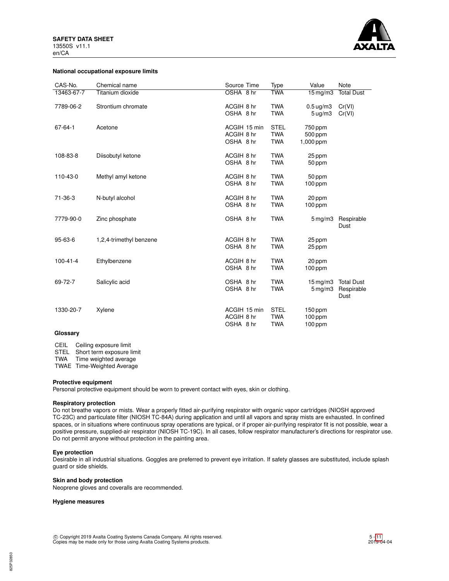

#### **National occupational exposure limits**

| CAS-No.        | Chemical name           | Source Time                             | Type                                    | Value                                | <b>Note</b>                             |
|----------------|-------------------------|-----------------------------------------|-----------------------------------------|--------------------------------------|-----------------------------------------|
| 13463-67-7     | Titanium dioxide        | OSHA 8 hr                               | <b>TWA</b>                              | $15 \,\mathrm{mg/m}$                 | <b>Total Dust</b>                       |
| 7789-06-2      | Strontium chromate      | ACGIH 8 hr<br>OSHA 8 hr                 | <b>TWA</b><br><b>TWA</b>                | $0.5 \text{ uq/m}3$<br>$5 \mu g/m3$  | Cr(VI)<br>Cr(VI)                        |
| 67-64-1        | Acetone                 | ACGIH 15 min<br>ACGIH 8 hr<br>OSHA 8 hr | <b>STEL</b><br><b>TWA</b><br><b>TWA</b> | 750 ppm<br>500 ppm<br>1,000 ppm      |                                         |
| 108-83-8       | Diisobutyl ketone       | ACGIH 8 hr<br>OSHA 8 hr                 | <b>TWA</b><br><b>TWA</b>                | 25 ppm<br>50 ppm                     |                                         |
| 110-43-0       | Methyl amyl ketone      | ACGIH 8 hr<br>OSHA 8 hr                 | <b>TWA</b><br><b>TWA</b>                | 50 ppm<br>$100$ ppm                  |                                         |
| 71-36-3        | N-butyl alcohol         | ACGIH 8 hr<br>OSHA 8 hr                 | <b>TWA</b><br><b>TWA</b>                | 20 ppm<br>$100$ ppm                  |                                         |
| 7779-90-0      | Zinc phosphate          | OSHA 8 hr                               | <b>TWA</b>                              | $5 \,\mathrm{mg/m}$                  | Respirable<br>Dust                      |
| 95-63-6        | 1,2,4-trimethyl benzene | ACGIH 8 hr<br>OSHA 8 hr                 | <b>TWA</b><br><b>TWA</b>                | 25 ppm<br>25 ppm                     |                                         |
| $100 - 41 - 4$ | Ethylbenzene            | ACGIH 8 hr<br>OSHA 8 hr                 | <b>TWA</b><br><b>TWA</b>                | 20 ppm<br>$100$ ppm                  |                                         |
| 69-72-7        | Salicylic acid          | OSHA 8 hr<br>OSHA 8 hr                  | <b>TWA</b><br><b>TWA</b>                | $15$ mg/m $3$<br>$5 \,\mathrm{mg/m}$ | <b>Total Dust</b><br>Respirable<br>Dust |
| 1330-20-7      | Xylene                  | ACGIH 15 min<br>ACGIH 8 hr<br>OSHA 8 hr | <b>STEL</b><br><b>TWA</b><br><b>TWA</b> | $150$ ppm<br>$100$ ppm<br>$100$ ppm  |                                         |

#### **Glossary**

CEIL Ceiling exposure limit

STEL Short term exposure limit

TWA Time weighted average

TWAE Time-Weighted Average

## **Protective equipment**

Personal protective equipment should be worn to prevent contact with eyes, skin or clothing.

## **Respiratory protection**

Do not breathe vapors or mists. Wear a properly fitted air-purifying respirator with organic vapor cartridges (NIOSH approved TC-23C) and particulate filter (NIOSH TC-84A) during application and until all vapors and spray mists are exhausted. In confined spaces, or in situations where continuous spray operations are typical, or if proper air-purifying respirator fit is not possible, wear a positive pressure, supplied-air respirator (NIOSH TC-19C). In all cases, follow respirator manufacturer's directions for respirator use. Do not permit anyone without protection in the painting area.

## **Eye protection**

Desirable in all industrial situations. Goggles are preferred to prevent eye irritation. If safety glasses are substituted, include splash guard or side shields.

## **Skin and body protection**

Neoprene gloves and coveralls are recommended.

#### **Hygiene measures**

c Copyright 2019 Axalta Coating Systems Canada Company. All rights reserved. Copies may be made only for those using Axalta Coating Systems products.

825P32850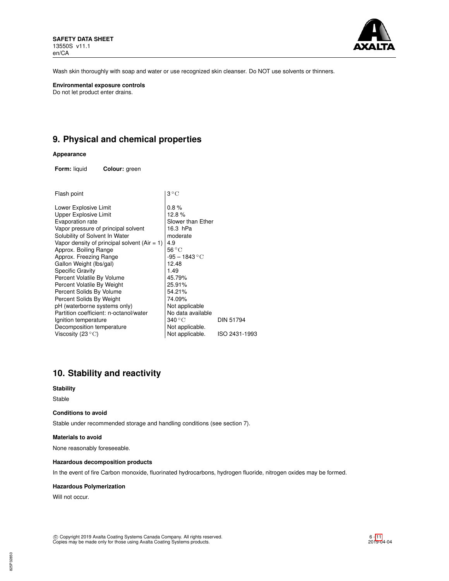

Wash skin thoroughly with soap and water or use recognized skin cleanser. Do NOT use solvents or thinners.

**Environmental exposure controls** Do not let product enter drains.

# **9. Physical and chemical properties**

## **Appearance**

**Form:** liquid **Colour:** green

| Flash point                                    | $3^{\circ}$ C             |               |
|------------------------------------------------|---------------------------|---------------|
| Lower Explosive Limit                          | 0.8%                      |               |
| Upper Explosive Limit                          | 12.8%                     |               |
| Evaporation rate                               | Slower than Ether         |               |
| Vapor pressure of principal solvent            | 16.3 hPa                  |               |
| Solubility of Solvent In Water                 | moderate                  |               |
| Vapor density of principal solvent $(Air = 1)$ | 4.9                       |               |
| Approx. Boiling Range                          | $56^{\circ}$ C            |               |
| Approx. Freezing Range                         | $-95 - 1843 °C$           |               |
| Gallon Weight (lbs/gal)                        | 12.48                     |               |
| Specific Gravity                               | 1.49                      |               |
| Percent Volatile By Volume                     | 45.79%                    |               |
| Percent Volatile By Weight                     | 25.91%                    |               |
| Percent Solids By Volume                       | 54.21%                    |               |
| Percent Solids By Weight                       | 74.09%                    |               |
| pH (waterborne systems only)                   | Not applicable            |               |
| Partition coefficient: n-octanol/water         | No data available         |               |
| Ignition temperature                           | $340\,^{\circ}\mathrm{C}$ | DIN 51794     |
| Decomposition temperature                      | Not applicable.           |               |
| Viscosity (23 $^{\circ}{\rm C}$ )              | Not applicable.           | ISO 2431-1993 |
|                                                |                           |               |

# **10. Stability and reactivity**

#### **Stability**

Stable

## **Conditions to avoid**

Stable under recommended storage and handling conditions (see section 7).

#### **Materials to avoid**

None reasonably foreseeable.

#### **Hazardous decomposition products**

In the event of fire Carbon monoxide, fluorinated hydrocarbons, hydrogen fluoride, nitrogen oxides may be formed.

## **Hazardous Polymerization**

Will not occur.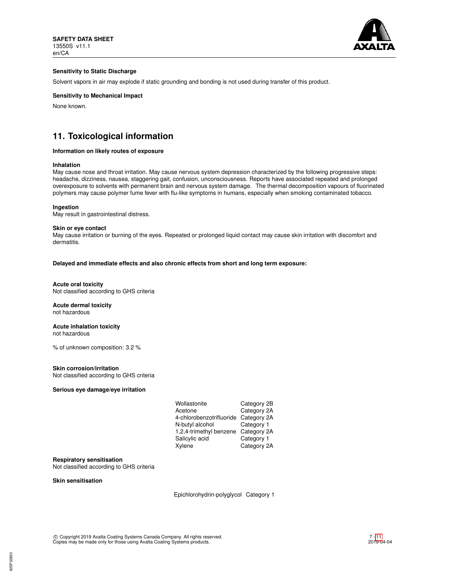

## **Sensitivity to Static Discharge**

Solvent vapors in air may explode if static grounding and bonding is not used during transfer of this product.

## **Sensitivity to Mechanical Impact**

None known.

# **11. Toxicological information**

#### **Information on likely routes of exposure**

#### **Inhalation**

May cause nose and throat irritation. May cause nervous system depression characterized by the following progressive steps: headache, dizziness, nausea, staggering gait, confusion, unconsciousness. Reports have associated repeated and prolonged overexposure to solvents with permanent brain and nervous system damage. The thermal decomposition vapours of fluorinated polymers may cause polymer fume fever with flu-like symptoms in humans, especially when smoking contaminated tobacco.

#### **Ingestion**

May result in gastrointestinal distress.

#### **Skin or eye contact**

May cause irritation or burning of the eyes. Repeated or prolonged liquid contact may cause skin irritation with discomfort and dermatitis.

**Delayed and immediate effects and also chronic effects from short and long term exposure:**

#### **Acute oral toxicity** Not classified according to GHS criteria

#### **Acute dermal toxicity** not hazardous

#### **Acute inhalation toxicity** not hazardous

% of unknown composition: 3.2 %

#### **Skin corrosion/irritation**

Not classified according to GHS criteria

### **Serious eye damage/eye irritation**

| Wollastonite             | Category 2B |
|--------------------------|-------------|
| Acetone                  | Category 2A |
| 4-chlorobenzotrifluoride | Category 2A |
| N-butyl alcohol          | Category 1  |
| 1,2,4-trimethyl benzene  | Category 2A |
| Salicylic acid           | Category 1  |
| Xylene                   | Category 2A |

#### **Respiratory sensitisation**

Not classified according to GHS criteria

## **Skin sensitisation**

Epichlorohydrin-polyglycol Category 1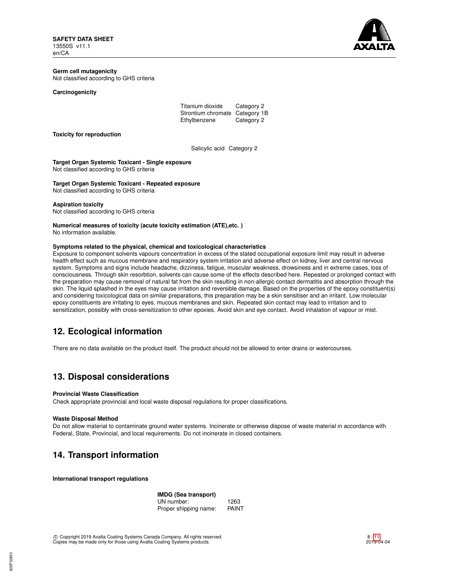

## **Germ cell mutagenicity** Not classified according to GHS criteria

#### **Carcinogenicity**

| Titanium dioxide               | Category 2 |
|--------------------------------|------------|
| Strontium chromate Category 1B |            |
| Ethylbenzene                   | Category 2 |

#### **Toxicity for reproduction**

Salicylic acid Category 2

**Target Organ Systemic Toxicant - Single exposure** Not classified according to GHS criteria

**Target Organ Systemic Toxicant - Repeated exposure**

Not classified according to GHS criteria

#### **Aspiration toxicity**

Not classified according to GHS criteria

**Numerical measures of toxicity (acute toxicity estimation (ATE),etc. )** No information available.

### **Symptoms related to the physical, chemical and toxicological characteristics**

Exposure to component solvents vapours concentration in excess of the stated occupational exposure limit may result in adverse health effect such as mucous membrane and respiratory system irritation and adverse effect on kidney, liver and central nervous system. Symptoms and signs include headache, dizziness, fatigue, muscular weakness, drowsiness and in extreme cases, loss of consciousness. Through skin resorbtion, solvents can cause some of the effects described here. Repeated or prolonged contact with the preparation may cause removal of natural fat from the skin resulting in non-allergic contact dermatitis and absorption through the skin. The liquid splashed in the eyes may cause irritation and reversible damage. Based on the properties of the epoxy constituent(s) and considering toxicological data on similar preparations, this preparation may be a skin sensitiser and an irritant. Low molecular epoxy constituents are irritating to eyes, mucous membranes and skin. Repeated skin contact may lead to irritation and to sensitization, possibly with cross-sensitization to other epoxies. Avoid skin and eye contact. Avoid inhalation of vapour or mist.

## **12. Ecological information**

There are no data available on the product itself. The product should not be allowed to enter drains or watercourses.

## **13. Disposal considerations**

#### **Provincial Waste Classification**

Check appropriate provincial and local waste disposal regulations for proper classifications.

### **Waste Disposal Method**

Do not allow material to contaminate ground water systems. Incinerate or otherwise dispose of waste material in accordance with Federal, State, Provincial, and local requirements. Do not incinerate in closed containers.

# **14. Transport information**

**International transport regulations**

**IMDG (Sea transport)** UN number: 1263<br>Proper shipping name: PAINT Proper shipping name: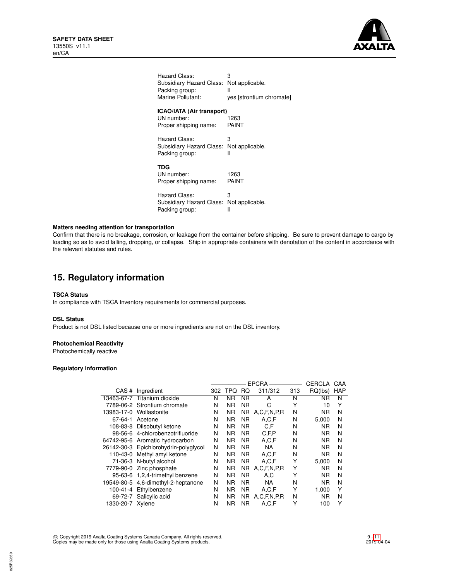

| Hazard Class:                                                           | 3                        |
|-------------------------------------------------------------------------|--------------------------|
| Subsidiary Hazard Class:                                                | Not applicable.          |
| Packing group:                                                          | Ш                        |
| Marine Pollutant:                                                       | yes [strontium chromate] |
| <b>ICAO/IATA (Air transport)</b><br>UN number:<br>Proper shipping name: | 1263<br>PAINT            |
| Hazard Class:                                                           | З                        |
| Subsidiary Hazard Class:                                                | Not applicable.          |
| Packing group:                                                          | н                        |
| TDG<br>UN number:<br>Proper shipping name:                              | 1263<br>PAINT            |
| Hazard Class:                                                           | 3                        |
| Subsidiary Hazard Class:                                                | Not applicable.          |
| Packing group:                                                          | Ш                        |

## **Matters needing attention for transportation**

Confirm that there is no breakage, corrosion, or leakage from the container before shipping. Be sure to prevent damage to cargo by loading so as to avoid falling, dropping, or collapse. Ship in appropriate containers with denotation of the content in accordance with the relevant statutes and rules.

# **15. Regulatory information**

## **TSCA Status**

In compliance with TSCA Inventory requirements for commercial purposes.

### **DSL Status**

Product is not DSL listed because one or more ingredients are not on the DSL inventory.

## **Photochemical Reactivity**

Photochemically reactive

#### **Regulatory information**

|                  |                                       |     | <b>EPCRA</b><br>CERCLA |                |                  | CAA |           |            |
|------------------|---------------------------------------|-----|------------------------|----------------|------------------|-----|-----------|------------|
|                  | CAS # Ingredient                      | 302 | TPQ                    | RQ.            | 311/312          | 313 | RQ(lbs)   | <b>HAP</b> |
|                  | 13463-67-7 Titanium dioxide           | N   | NR                     | ΝR             | A                | N   | ΝR        | N          |
|                  | 7789-06-2 Strontium chromate          | N   | ΝR                     | ΝR             | C                | Υ   | 10        | Υ          |
|                  | 13983-17-0 Wollastonite               | N   | <b>NR</b>              | NR.            | A, C, F, N, P, R | N   | ΝR        | N          |
| 67-64-1          | Acetone                               | N   | <b>NR</b>              | <b>NR</b>      | A.C.F            | N   | 5.000     | N          |
|                  | 108-83-8 Diisobutyl ketone            | N   | <b>NR</b>              | <b>NR</b>      | C.F              | N   | ΝR        | N          |
|                  | 98-56-6 4-chlorobenzotrifluoride      | N   | <b>NR</b>              | <b>NR</b>      | C.F.P            | N   | ΝR        | N          |
|                  | 64742-95-6 Aromatic hydrocarbon       | N   | <b>NR</b>              | NR.            | A,C,F            | N   | ΝR        | N          |
|                  | 26142-30-3 Epichlorohydrin-polyglycol | N   | <b>NR</b>              | NR.            | <b>NA</b>        | N   | <b>NR</b> | N          |
|                  | 110-43-0 Methyl amyl ketone           | N   | N <sub>R</sub>         | N <sub>R</sub> | A,C,F            | N   | ΝR        | N          |
|                  | 71-36-3 N-butyl alcohol               | N   | NR.                    | <b>NR</b>      | A.C.F            | Υ   | 5,000     | N          |
|                  | 7779-90-0 Zinc phosphate              | N   | <b>NR</b>              | NR.            | A, C, F, N, P, R | Υ   | ΝR        | N          |
|                  | 95-63-6 1,2,4-trimethyl benzene       | N   | <b>NR</b>              | <b>NR</b>      | A.C              | Υ   | ΝR        | N          |
|                  | 19549-80-5 4,6-dimethyl-2-heptanone   | N   | ΝR                     | <b>NR</b>      | NA.              | N   | ΝR        | N          |
|                  | 100-41-4 Ethylbenzene                 | N   | <b>NR</b>              | <b>NR</b>      | A,C,F            | Υ   | 1.000     | Y          |
|                  | 69-72-7 Salicylic acid                | N   | <b>NR</b>              | <b>NR</b>      | A, C, F, N, P, R | N   | ΝR        | N          |
| 1330-20-7 Xylene |                                       | N   | <b>NR</b>              | <b>NR</b>      | A.C.F            | Υ   | 100       | Υ          |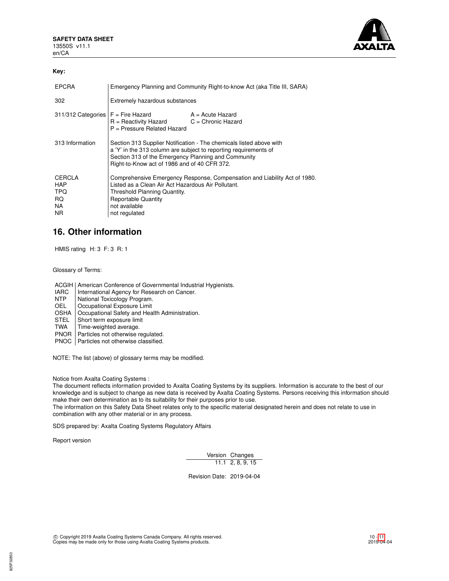

## **Key:**

| <b>EPCRA</b>                                     | Emergency Planning and Community Right-to-know Act (aka Title III, SARA)                                                                                                                                                                       |                  |  |
|--------------------------------------------------|------------------------------------------------------------------------------------------------------------------------------------------------------------------------------------------------------------------------------------------------|------------------|--|
| 302                                              | Extremely hazardous substances                                                                                                                                                                                                                 |                  |  |
|                                                  | $311/312$ Categories $F =$ Fire Hazard<br>$R =$ Reactivity Hazard $C =$ Chronic Hazard<br>$P =$ Pressure Related Hazard                                                                                                                        | A = Acute Hazard |  |
| 313 Information                                  | Section 313 Supplier Notification - The chemicals listed above with<br>a 'Y' in the 313 column are subject to reporting requirements of<br>Section 313 of the Emergency Planning and Community<br>Right-to-Know act of 1986 and of 40 CFR 372. |                  |  |
| CERCLA<br><b>HAP</b><br>TPQ<br>RQ.<br>NA.<br>NR. | Comprehensive Emergency Response, Compensation and Liability Act of 1980.<br>Listed as a Clean Air Act Hazardous Air Pollutant.<br>Threshold Planning Quantity.<br><b>Reportable Quantity</b><br>not available<br>not regulated                |                  |  |

## **16. Other information**

HMIS rating H: 3 F: 3 R: 1

Glossary of Terms:

ACGIH | American Conference of Governmental Industrial Hygienists.

- IARC | International Agency for Research on Cancer.<br>
NTP | National Toxicology Program.
- NTP National Toxicology Program.<br>OEL Cocupational Exposure Limit
- Occupational Exposure Limit
- OSHA | Occupational Safety and Health Administration.<br>STEL | Short term exposure limit
- STEL Short term exposure limit<br>TWA Time-weighted average.
- Time-weighted average.
- PNOR | Particles not otherwise regulated.

PNOC | Particles not otherwise classified.

NOTE: The list (above) of glossary terms may be modified.

Notice from Axalta Coating Systems :

The document reflects information provided to Axalta Coating Systems by its suppliers. Information is accurate to the best of our knowledge and is subject to change as new data is received by Axalta Coating Systems. Persons receiving this information should make their own determination as to its suitability for their purposes prior to use.

The information on this Safety Data Sheet relates only to the specific material designated herein and does not relate to use in combination with any other material or in any process.

SDS prepared by: Axalta Coating Systems Regulatory Affairs

Report version

825P32850

Version Changes 11.1 2, 8, 9, 15

Revision Date: 2019-04-04